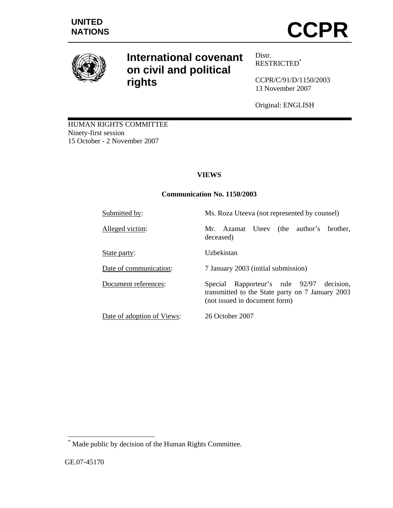

# **International covenant on civil and political rights**

Distr. RESTRICTED\*

CCPR/C/91/D/1150/2003 13 November 2007

Original: ENGLISH

HUMAN RIGHTS COMMITTEE Ninety-first session 15 October - 2 November 2007

# **VIEWS**

## **Communication No. 1150/2003**

Submitted by: Ms. Roza Uteeva (not represented by counsel)

Alleged victim: Mr. Azamat Uteev (the author's brother,

State party: Uzbekistan

Date of communication: 7 January 2003 (initial submission)

deceased)

Document references: Special Rapporteur's rule 92/97 decision, transmitted to the State party on 7 January 2003 (not issued in document form)

Date of adoption of Views: 26 October 2007

 $\overline{a}$ 

<sup>\*</sup> Made public by decision of the Human Rights Committee.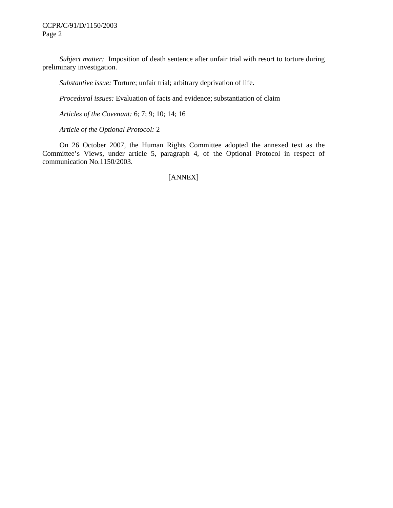CCPR/C/91/D/1150/2003 Page 2

 *Subject matter:* Imposition of death sentence after unfair trial with resort to torture during preliminary investigation.

 *Substantive issue:* Torture; unfair trial; arbitrary deprivation of life.

 *Procedural issues:* Evaluation of facts and evidence; substantiation of claim

 *Articles of the Covenant:* 6; 7; 9; 10; 14; 16

 *Article of the Optional Protocol:* 2

 On 26 October 2007, the Human Rights Committee adopted the annexed text as the Committee's Views, under article 5, paragraph 4, of the Optional Protocol in respect of communication No.1150/2003.

[ANNEX]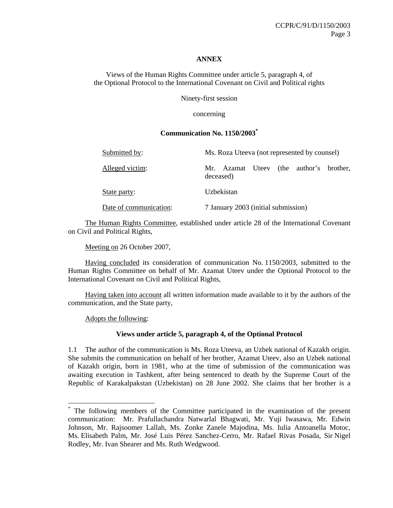#### **ANNEX**

Views of the Human Rights Committee under article 5, paragraph 4, of the Optional Protocol to the International Covenant on Civil and Political rights

Ninety-first session

concerning

#### **Communication No. 1150/2003\***

| Submitted by:          | Ms. Roza Uteeva (not represented by counsel)         |
|------------------------|------------------------------------------------------|
| Alleged victim:        | Mr. Azamat Uteev (the author's brother,<br>deceased) |
| State party:           | Uzbekistan                                           |
| Date of communication: | 7 January 2003 (initial submission)                  |

 The Human Rights Committee, established under article 28 of the International Covenant on Civil and Political Rights,

Meeting on 26 October 2007,

 Having concluded its consideration of communication No. 1150/2003, submitted to the Human Rights Committee on behalf of Mr. Azamat Uteev under the Optional Protocol to the International Covenant on Civil and Political Rights,

 Having taken into account all written information made available to it by the authors of the communication, and the State party,

Adopts the following:

 $\overline{a}$ 

#### **Views under article 5, paragraph 4, of the Optional Protocol**

1.1 The author of the communication is Ms. Roza Uteeva, an Uzbek national of Kazakh origin. She submits the communication on behalf of her brother, Azamat Uteev, also an Uzbek national of Kazakh origin, born in 1981, who at the time of submission of the communication was awaiting execution in Tashkent, after being sentenced to death by the Supreme Court of the Republic of Karakalpakstan (Uzbekistan) on 28 June 2002. She claims that her brother is a

<sup>\*</sup> The following members of the Committee participated in the examination of the present communication: Mr. Prafullachandra Natwarlal Bhagwati, Mr. Yuji Iwasawa, Mr. Edwin Johnson, Mr. Rajsoomer Lallah, Ms. Zonke Zanele Majodina, Ms. Iulia Antoanella Motoc, Ms. Elisabeth Palm, Mr. José Luis Pérez Sanchez-Cerro, Mr. Rafael Rivas Posada, Sir Nigel Rodley, Mr. Ivan Shearer and Ms. Ruth Wedgwood.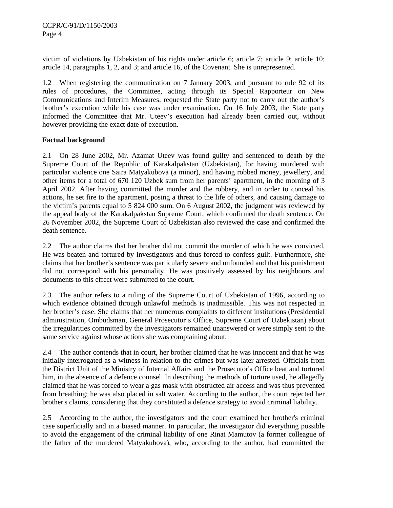victim of violations by Uzbekistan of his rights under article 6; article 7; article 9; article 10; article 14, paragraphs 1, 2, and 3; and article 16, of the Covenant. She is unrepresented.

1.2 When registering the communication on 7 January 2003, and pursuant to rule 92 of its rules of procedures, the Committee, acting through its Special Rapporteur on New Communications and Interim Measures, requested the State party not to carry out the author's brother's execution while his case was under examination. On 16 July 2003, the State party informed the Committee that Mr. Uteev's execution had already been carried out, without however providing the exact date of execution.

### **Factual background**

2.1 On 28 June 2002, Mr. Azamat Uteev was found guilty and sentenced to death by the Supreme Court of the Republic of Karakalpakstan (Uzbekistan), for having murdered with particular violence one Saira Matyakubova (a minor), and having robbed money, jewellery, and other items for a total of 670 120 Uzbek sum from her parents' apartment, in the morning of 3 April 2002. After having committed the murder and the robbery, and in order to conceal his actions, he set fire to the apartment, posing a threat to the life of others, and causing damage to the victim's parents equal to 5 824 000 sum. On 6 August 2002, the judgment was reviewed by the appeal body of the Karakalpakstan Supreme Court, which confirmed the death sentence. On 26 November 2002, the Supreme Court of Uzbekistan also reviewed the case and confirmed the death sentence.

2.2 The author claims that her brother did not commit the murder of which he was convicted. He was beaten and tortured by investigators and thus forced to confess guilt. Furthermore, she claims that her brother's sentence was particularly severe and unfounded and that his punishment did not correspond with his personality. He was positively assessed by his neighbours and documents to this effect were submitted to the court.

2.3 The author refers to a ruling of the Supreme Court of Uzbekistan of 1996, according to which evidence obtained through unlawful methods is inadmissible. This was not respected in her brother's case. She claims that her numerous complaints to different institutions (Presidential administration, Ombudsman, General Prosecutor's Office, Supreme Court of Uzbekistan) about the irregularities committed by the investigators remained unanswered or were simply sent to the same service against whose actions she was complaining about.

2.4 The author contends that in court, her brother claimed that he was innocent and that he was initially interrogated as a witness in relation to the crimes but was later arrested. Officials from the District Unit of the Ministry of Internal Affairs and the Prosecutor's Office beat and tortured him, in the absence of a defence counsel. In describing the methods of torture used, he allegedly claimed that he was forced to wear a gas mask with obstructed air access and was thus prevented from breathing; he was also placed in salt water. According to the author, the court rejected her brother's claims, considering that they constituted a defence strategy to avoid criminal liability.

2.5 According to the author, the investigators and the court examined her brother's criminal case superficially and in a biased manner. In particular, the investigator did everything possible to avoid the engagement of the criminal liability of one Rinat Mamutov (a former colleague of the father of the murdered Matyakubova), who, according to the author, had committed the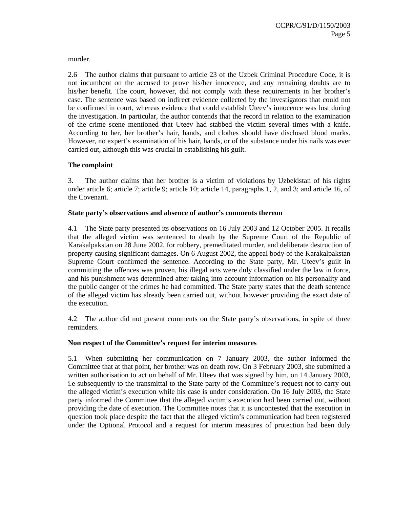murder.

2.6 The author claims that pursuant to article 23 of the Uzbek Criminal Procedure Code, it is not incumbent on the accused to prove his/her innocence, and any remaining doubts are to his/her benefit. The court, however, did not comply with these requirements in her brother's case. The sentence was based on indirect evidence collected by the investigators that could not be confirmed in court, whereas evidence that could establish Uteev's innocence was lost during the investigation. In particular, the author contends that the record in relation to the examination of the crime scene mentioned that Uteev had stabbed the victim several times with a knife. According to her, her brother's hair, hands, and clothes should have disclosed blood marks. However, no expert's examination of his hair, hands, or of the substance under his nails was ever carried out, although this was crucial in establishing his guilt.

#### **The complaint**

3. The author claims that her brother is a victim of violations by Uzbekistan of his rights under article 6; article 7; article 9; article 10; article 14, paragraphs 1, 2, and 3; and article 16, of the Covenant.

#### **State party's observations and absence of author's comments thereon**

4.1 The State party presented its observations on 16 July 2003 and 12 October 2005. It recalls that the alleged victim was sentenced to death by the Supreme Court of the Republic of Karakalpakstan on 28 June 2002, for robbery, premeditated murder, and deliberate destruction of property causing significant damages. On 6 August 2002, the appeal body of the Karakalpakstan Supreme Court confirmed the sentence. According to the State party, Mr. Uteev's guilt in committing the offences was proven, his illegal acts were duly classified under the law in force, and his punishment was determined after taking into account information on his personality and the public danger of the crimes he had committed. The State party states that the death sentence of the alleged victim has already been carried out, without however providing the exact date of the execution.

4.2 The author did not present comments on the State party's observations, in spite of three reminders.

#### **Non respect of the Committee's request for interim measures**

5.1 When submitting her communication on 7 January 2003, the author informed the Committee that at that point, her brother was on death row. On 3 February 2003, she submitted a written authorisation to act on behalf of Mr. Uteev that was signed by him, on 14 January 2003, i.e subsequently to the transmittal to the State party of the Committee's request not to carry out the alleged victim's execution while his case is under consideration. On 16 July 2003, the State party informed the Committee that the alleged victim's execution had been carried out, without providing the date of execution. The Committee notes that it is uncontested that the execution in question took place despite the fact that the alleged victim's communication had been registered under the Optional Protocol and a request for interim measures of protection had been duly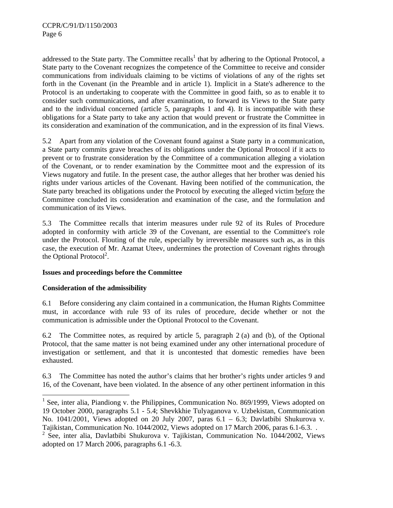addressed to the State party. The Committee recalls<sup>1</sup> that by adhering to the Optional Protocol, a State party to the Covenant recognizes the competence of the Committee to receive and consider communications from individuals claiming to be victims of violations of any of the rights set forth in the Covenant (in the Preamble and in article 1). Implicit in a State's adherence to the Protocol is an undertaking to cooperate with the Committee in good faith, so as to enable it to consider such communications, and after examination, to forward its Views to the State party and to the individual concerned (article 5, paragraphs 1 and 4). It is incompatible with these obligations for a State party to take any action that would prevent or frustrate the Committee in its consideration and examination of the communication, and in the expression of its final Views.

5.2 Apart from any violation of the Covenant found against a State party in a communication, a State party commits grave breaches of its obligations under the Optional Protocol if it acts to prevent or to frustrate consideration by the Committee of a communication alleging a violation of the Covenant, or to render examination by the Committee moot and the expression of its Views nugatory and futile. In the present case, the author alleges that her brother was denied his rights under various articles of the Covenant. Having been notified of the communication, the State party breached its obligations under the Protocol by executing the alleged victim before the Committee concluded its consideration and examination of the case, and the formulation and communication of its Views.

5.3 The Committee recalls that interim measures under rule 92 of its Rules of Procedure adopted in conformity with article 39 of the Covenant, are essential to the Committee's role under the Protocol. Flouting of the rule, especially by irreversible measures such as, as in this case, the execution of Mr. Azamat Uteev, undermines the protection of Covenant rights through the Optional Protocol<sup>2</sup>.

#### **Issues and proceedings before the Committee**

## **Consideration of the admissibility**

l

6.1 Before considering any claim contained in a communication, the Human Rights Committee must, in accordance with rule 93 of its rules of procedure, decide whether or not the communication is admissible under the Optional Protocol to the Covenant.

6.2 The Committee notes, as required by article 5, paragraph 2 (a) and (b), of the Optional Protocol, that the same matter is not being examined under any other international procedure of investigation or settlement, and that it is uncontested that domestic remedies have been exhausted.

6.3 The Committee has noted the author's claims that her brother's rights under articles 9 and 16, of the Covenant, have been violated. In the absence of any other pertinent information in this

<sup>&</sup>lt;sup>1</sup> See, inter alia, Piandiong v. the Philippines, Communication No. 869/1999, Views adopted on 19 October 2000, paragraphs 5.1 - 5.4; Shevkkhie Tulyaganova v. Uzbekistan, Communication No. 1041/2001, Views adopted on 20 July 2007, paras  $6.1 - 6.3$ ; Davlatbibi Shukurova v. Tajikistan, Communication No. 1044/2002, Views adopted on 17 March 2006, paras 6.1-6.3. .

<sup>&</sup>lt;sup>2</sup> See, inter alia, Davlatbibi Shukurova v. Tajikistan, Communication No. 1044/2002, Views adopted on 17 March 2006, paragraphs 6.1 -6.3.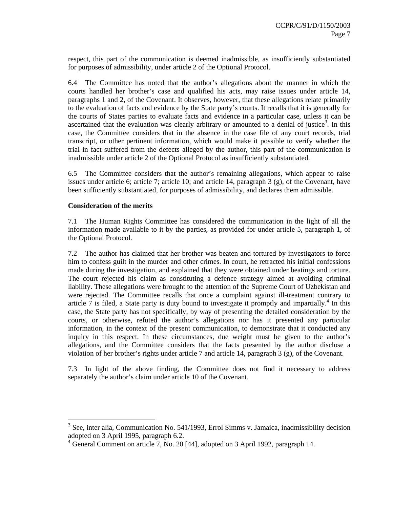respect, this part of the communication is deemed inadmissible, as insufficiently substantiated for purposes of admissibility, under article 2 of the Optional Protocol.

6.4 The Committee has noted that the author's allegations about the manner in which the courts handled her brother's case and qualified his acts, may raise issues under article 14, paragraphs 1 and 2, of the Covenant. It observes, however, that these allegations relate primarily to the evaluation of facts and evidence by the State party's courts. It recalls that it is generally for the courts of States parties to evaluate facts and evidence in a particular case, unless it can be ascertained that the evaluation was clearly arbitrary or amounted to a denial of justice<sup>3</sup>. In this case, the Committee considers that in the absence in the case file of any court records, trial transcript, or other pertinent information, which would make it possible to verify whether the trial in fact suffered from the defects alleged by the author, this part of the communication is inadmissible under article 2 of the Optional Protocol as insufficiently substantiated.

6.5 The Committee considers that the author's remaining allegations, which appear to raise issues under article 6; article 7; article 10; and article 14, paragraph 3 (g), of the Covenant, have been sufficiently substantiated, for purposes of admissibility, and declares them admissible.

#### **Consideration of the merits**

 $\overline{a}$ 

7.1 The Human Rights Committee has considered the communication in the light of all the information made available to it by the parties, as provided for under article 5, paragraph 1, of the Optional Protocol.

7.2 The author has claimed that her brother was beaten and tortured by investigators to force him to confess guilt in the murder and other crimes. In court, he retracted his initial confessions made during the investigation, and explained that they were obtained under beatings and torture. The court rejected his claim as constituting a defence strategy aimed at avoiding criminal liability. These allegations were brought to the attention of the Supreme Court of Uzbekistan and were rejected. The Committee recalls that once a complaint against ill-treatment contrary to article  $\overline{7}$  is filed, a State party is duty bound to investigate it promptly and impartially.<sup>4</sup> In this case, the State party has not specifically, by way of presenting the detailed consideration by the courts, or otherwise, refuted the author's allegations nor has it presented any particular information, in the context of the present communication, to demonstrate that it conducted any inquiry in this respect. In these circumstances, due weight must be given to the author's allegations, and the Committee considers that the facts presented by the author disclose a violation of her brother's rights under article 7 and article 14, paragraph 3 (g), of the Covenant.

7.3 In light of the above finding, the Committee does not find it necessary to address separately the author's claim under article 10 of the Covenant.

<sup>&</sup>lt;sup>3</sup> See, inter alia, Communication No. 541/1993, Errol Simms v. Jamaica, inadmissibility decision adopted on 3 April 1995, paragraph 6.2.

<sup>&</sup>lt;sup>4</sup> General Comment on article 7, No. 20 [44], adopted on 3 April 1992, paragraph 14.